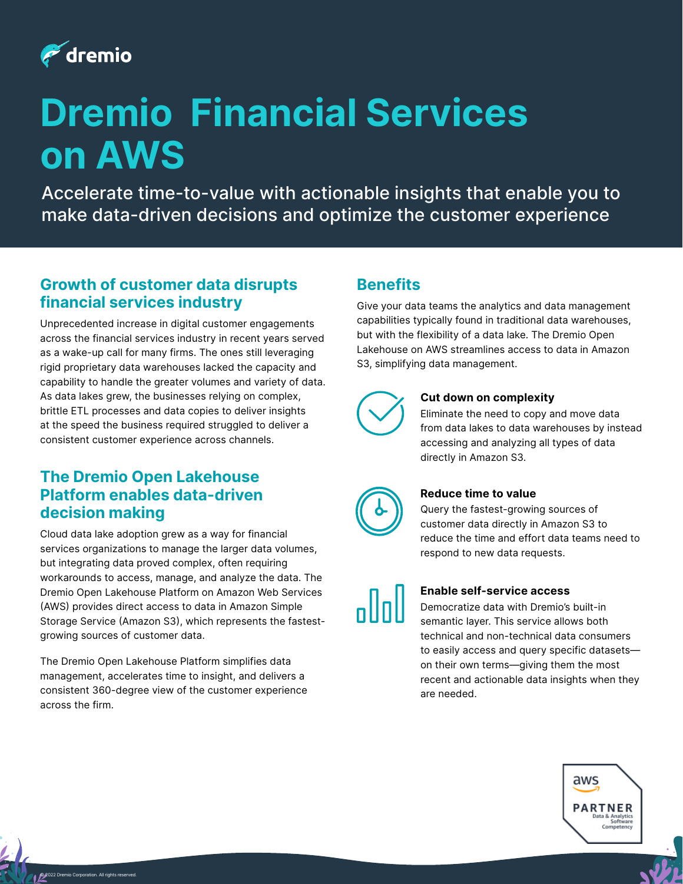

# **Dremio Financial Services on AWS**

Accelerate time-to-value with actionable insights that enable you to make data-driven decisions and optimize the customer experience

# **Growth of customer data disrupts financial services industry**

Unprecedented increase in digital customer engagements across the financial services industry in recent years served as a wake-up call for many firms. The ones still leveraging rigid proprietary data warehouses lacked the capacity and capability to handle the greater volumes and variety of data. As data lakes grew, the businesses relying on complex, brittle ETL processes and data copies to deliver insights at the speed the business required struggled to deliver a consistent customer experience across channels.

# **The Dremio Open Lakehouse Platform enables data-driven decision making**

Cloud data lake adoption grew as a way for financial services organizations to manage the larger data volumes, but integrating data proved complex, often requiring workarounds to access, manage, and analyze the data. The Dremio Open Lakehouse Platform on Amazon Web Services (AWS) provides direct access to data in Amazon Simple Storage Service (Amazon S3), which represents the fastestgrowing sources of customer data.

The Dremio Open Lakehouse Platform simplifies data management, accelerates time to insight, and delivers a consistent 360-degree view of the customer experience across the firm.

# **Benefits**

Give your data teams the analytics and data management capabilities typically found in traditional data warehouses, but with the flexibility of a data lake. The Dremio Open Lakehouse on AWS streamlines access to data in Amazon S3, simplifying data management.



### **Cut down on complexity**

Eliminate the need to copy and move data from data lakes to data warehouses by instead accessing and analyzing all types of data directly in Amazon S3.



### **Reduce time to value**

Query the fastest-growing sources of customer data directly in Amazon S3 to reduce the time and effort data teams need to respond to new data requests.

### **Enable self-service access**

Democratize data with Dremio's built-in semantic layer. This service allows both technical and non-technical data consumers to easily access and query specific datasets on their own terms—giving them the most recent and actionable data insights when they are needed.